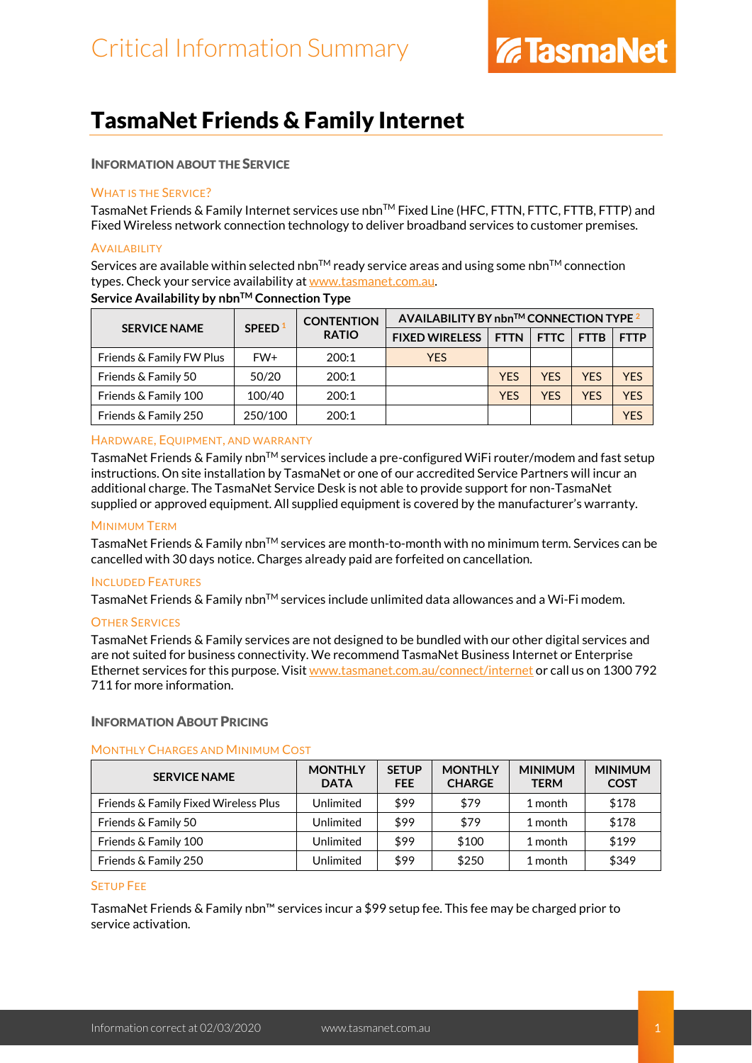### TasmaNet Friends & Family Internet

### INFORMATION ABOUT THE SERVICE

### WHAT IS THE SERVICE?

TasmaNet Friends & Family Internet services use nbn™ Fixed Line (HFC, FTTN, FTTC, FTTB, FTTP) and Fixed Wireless network connection technology to deliver broadband services to customer premises.

### **AVAILABILITY**

Services are available within selected nbn<sup>TM</sup> ready service areas and using some nbn<sup>TM</sup> connection types. Check your service availability at [www.tasmanet.com.au.](https://www.tasmanet.com.au/)

| <b>SERVICE NAME</b>      | SPEED <sup>1</sup> | <b>CONTENTION</b><br><b>RATIO</b> | AVAILABILITY BY nbn™ CONNECTION TYPE <sup>2</sup> |             |             |             |             |  |
|--------------------------|--------------------|-----------------------------------|---------------------------------------------------|-------------|-------------|-------------|-------------|--|
|                          |                    |                                   | <b>FIXED WIRELESS</b>                             | <b>FTTN</b> | <b>FTTC</b> | <b>FTTB</b> | <b>FTTP</b> |  |
| Friends & Family FW Plus | FW+                | 200:1                             | <b>YES</b>                                        |             |             |             |             |  |
| Friends & Family 50      | 50/20              | 200:1                             |                                                   | YES         | <b>YFS</b>  | <b>YFS</b>  | <b>YFS</b>  |  |
| Friends & Family 100     | 100/40             | 200:1                             |                                                   | YES         | <b>YFS</b>  | <b>YFS</b>  | <b>YFS</b>  |  |
| Friends & Family 250     | 250/100            | 200:1                             |                                                   |             |             |             | YFS         |  |

### **Service Availability by nbn™ Connection Type**

### HARDWARE, EQUIPMENT, AND WARRANTY

TasmaNet Friends & Family nbn™ services include a pre-configured WiFi router/modem and fast setup instructions. On site installation by TasmaNet or one of our accredited Service Partners will incur an additional charge. The TasmaNet Service Desk is not able to provide support for non-TasmaNet supplied or approved equipment. All supplied equipment is covered by the manufacturer's warranty.

### MINIMUM TERM

TasmaNet Friends & Family nbn<sup>TM</sup> services are month-to-month with no minimum term. Services can be cancelled with 30 days notice. Charges already paid are forfeited on cancellation.

### INCLUDED FEATURES

TasmaNet Friends & Family nbn<sup>TM</sup> services include unlimited data allowances and a Wi-Fi modem.

### OTHER SERVICES

TasmaNet Friends & Family services are not designed to be bundled with our other digital services and are not suited for business connectivity. We recommend TasmaNet Business Internet or Enterprise Ethernet services for this purpose. Visi[t www.tasmanet.com.au/connect/internet](https://www.tasmanet.com.au/connect/internet) or call us on 1300 792 711 for more information.

### INFORMATION ABOUT PRICING

### MONTHLY CHARGES AND MINIMUM COST

| <b>SERVICE NAME</b>                  | <b>MONTHLY</b><br><b>DATA</b> | <b>SETUP</b><br><b>FEE</b> | <b>MONTHLY</b><br><b>CHARGE</b> | <b>MINIMUM</b><br><b>TERM</b> | <b>MINIMUM</b><br><b>COST</b> |
|--------------------------------------|-------------------------------|----------------------------|---------------------------------|-------------------------------|-------------------------------|
| Friends & Family Fixed Wireless Plus | Unlimited                     | \$99                       | \$79                            | 1 month                       | \$178                         |
| Friends & Family 50                  | Unlimited                     | \$99                       | \$79                            | 1 month                       | \$178                         |
| Friends & Family 100                 | Unlimited                     | \$99                       | \$100                           | 1 month                       | \$199                         |
| Friends & Family 250                 | Unlimited                     | \$99                       | \$250                           | 1 month                       | \$349                         |

### SETUP FEE

TasmaNet Friends & Family nbn™ services incur a \$99 setup fee. This fee may be charged prior to service activation.